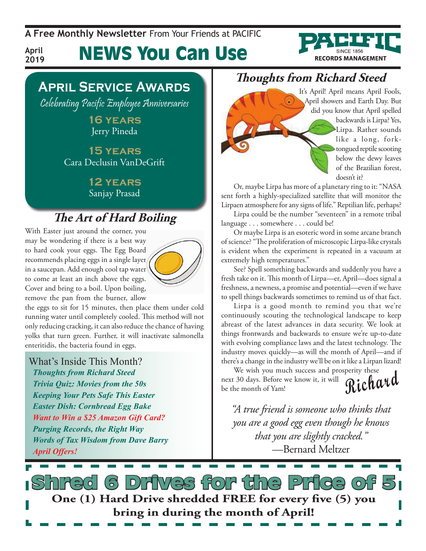**A Free Monthly Newsletter** From Your Friends at Pacific

**RECORDS MANAGEMENT** 

**April 2019**

# News You Can Use

## **April Service Awards**

Celebrating Pacific Employee Anniversaries

**16 years**  Jerry Pineda

**15 years** Cara Declusin VanDeGrift

> **12 years** Sanjay Prasad

### **The Art of Hard Boiling**

With Easter just around the corner, you may be wondering if there is a best way to hard cook your eggs. The Egg Board recommends placing eggs in a single layer in a saucepan. Add enough cool tap water to come at least an inch above the eggs. Cover and bring to a boil. Upon boiling, remove the pan from the burner, allow



the eggs to sit for 15 minutes, then place them under cold running water until completely cooled. This method will not only reducing cracking, it can also reduce the chance of having yolks that turn green. Further, it will inactivate salmonella enteritidis, the bacteria found in eggs.

### What's Inside This Month?

*Thoughts from Richard Steed Trivia Quiz: Movies from the 50s Keeping Your Pets Safe This Easter Easter Dish: Cornbread Egg Bake Want to Win a \$25 Amazon Gift Card? Purging Records, the Right Way Words of Tax Wisdom from Dave Barry April Offers!*

### **Thoughts from Richard Steed**

It's April! April means April Fools, April showers and Earth Day. But did you know that April spelled backwards is Lirpa? Yes, Lirpa. Rather sounds like a long, forktongued reptile scooting below the dewy leaves of the Brazilian forest, doesn't it?

Or, maybe Lirpa has more of a planetary ring to it: "NASA sent forth a highly-specialized satellite that will monitor the Lirpaen atmosphere for any signs of life." Reptilian life, perhaps?

Lirpa could be the number "seventeen" in a remote tribal language . . . somewhere . . . could be!

Or maybe Lirpa is an esoteric word in some arcane branch of science? "The proliferation of microscopic Lirpa-like crystals is evident when the experiment is repeated in a vacuum at extremely high temperatures."

See? Spell something backwards and suddenly you have a fresh take on it. This month of Lirpa—er, April—does signal a freshness, a newness, a promise and potential—even if we have to spell things backwards sometimes to remind us of that fact.

Lirpa is a good month to remind you that we're continuously scouting the technological landscape to keep abreast of the latest advances in data security. We look at things frontwards and backwards to ensure we're up-to-date with evolving compliance laws and the latest technology. The industry moves quickly—as will the month of April—and if there's a change in the industry we'll be on it like a Lirpan lizard!

**Richard** We wish you much success and prosperity these next 30 days. Before we know it, it will be the month of Yam!

*"A true friend is someone who thinks that you are a good egg even though he knows that you are slightly cracked."*  —Bernard Meltzer

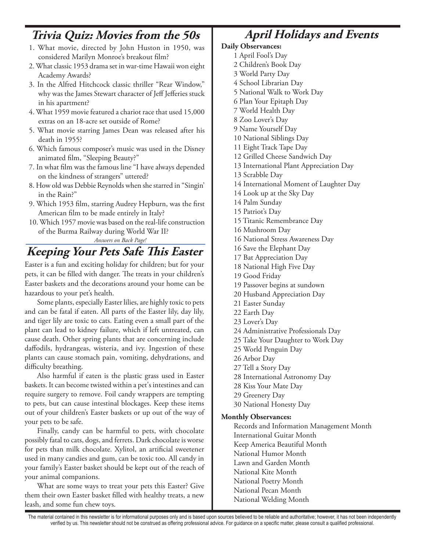### **Trivia Quiz: Movies from the 50s**

- 1. What movie, directed by John Huston in 1950, was considered Marilyn Monroe's breakout film?
- 2. What classic 1953 drama set in war-time Hawaii won eight Academy Awards?
- 3. In the Alfred Hitchcock classic thriller "Rear Window," why was the James Stewart character of Jeff Jefferies stuck in his apartment?
- 4. What 1959 movie featured a chariot race that used 15,000 extras on an 18-acre set outside of Rome?
- 5. What movie starring James Dean was released after his death in 1955?
- 6. Which famous composer's music was used in the Disney animated film, "Sleeping Beauty?"
- 7. In what film was the famous line "I have always depended on the kindness of strangers" uttered?
- 8. How old was Debbie Reynolds when she starred in "Singin' in the Rain?"
- 9. Which 1953 film, starring Audrey Hepburn, was the first American film to be made entirely in Italy?
- 10. Which 1957 movie was based on the real-life construction of the Burma Railway during World War II?

*Answers on Back Page!*

### **Keeping Your Pets Safe This Easter**

Easter is a fun and exciting holiday for children; but for your pets, it can be filled with danger. The treats in your children's Easter baskets and the decorations around your home can be hazardous to your pet's health.

Some plants, especially Easter lilies, are highly toxic to pets and can be fatal if eaten. All parts of the Easter lily, day lily, and tiger lily are toxic to cats. Eating even a small part of the plant can lead to kidney failure, which if left untreated, can cause death. Other spring plants that are concerning include daffodils, hydrangeas, wisteria, and ivy. Ingestion of these plants can cause stomach pain, vomiting, dehydrations, and difficulty breathing.

Also harmful if eaten is the plastic grass used in Easter baskets. It can become twisted within a pet's intestines and can require surgery to remove. Foil candy wrappers are tempting to pets, but can cause intestinal blockages. Keep these items out of your children's Easter baskets or up out of the way of your pets to be safe.

Finally, candy can be harmful to pets, with chocolate possibly fatal to cats, dogs, and ferrets. Dark chocolate is worse for pets than milk chocolate. Xylitol, an artificial sweetener used in many candies and gum, can be toxic too. All candy in your family's Easter basket should be kept out of the reach of your animal companions.

What are some ways to treat your pets this Easter? Give them their own Easter basket filled with healthy treats, a new leash, and some fun chew toys.

### **April Holidays and Events**

#### **Daily Observances:**

- 1 April Fool's Day 2 Children's Book Day
- 3 World Party Day
- 4 School Librarian Day
- 5 National Walk to Work Day
- 6 Plan Your Epitaph Day
- 7 World Health Day
- 8 Zoo Lover's Day
- 9 Name Yourself Day
- 10 National Siblings Day
- 11 Eight Track Tape Day
- 12 Grilled Cheese Sandwich Day
- 13 International Plant Appreciation Day
- 13 Scrabble Day
- 14 International Moment of Laughter Day
- 14 Look up at the Sky Day
- 14 Palm Sunday
- 15 Patriot's Day
- 15 Titanic Remembrance Day
- 16 Mushroom Day
- 16 National Stress Awareness Day
- 16 Save the Elephant Day
- 17 Bat Appreciation Day
- 18 National High Five Day
- 19 Good Friday
- 19 Passover begins at sundown
- 20 Husband Appreciation Day
- 21 Easter Sunday
- 22 Earth Day
- 23 Lover's Day
- 24 Administrative Professionals Day
- 25 Take Your Daughter to Work Day
- 25 World Penguin Day
- 26 Arbor Day
- 27 Tell a Story Day
- 28 International Astronomy Day
- 28 Kiss Your Mate Day
- 29 Greenery Day
- 30 National Honesty Day

#### **Monthly Observances:**

Records and Information Management Month International Guitar Month Keep America Beautiful Month National Humor Month Lawn and Garden Month National Kite Month National Poetry Month National Pecan Month National Welding Month

The material contained in this newsletter is for informational purposes only and is based upon sources believed to be reliable and authoritative; however, it has not been independently verified by us. This newsletter should not be construed as offering professional advice. For guidance on a specific matter, please consult a qualified professional.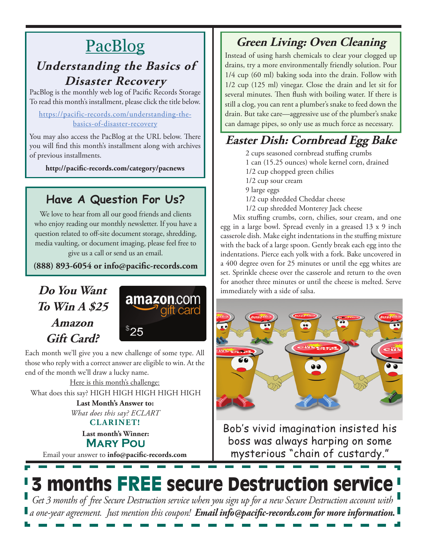# **PacBlog**

### **Understanding the Basics of Disaster Recovery**

PacBlog is the monthly web log of Pacific Records Storage To read this month's installment, please click the title below.

#### [https://pacific-records.com/understanding-the](https://pacific-records.com/understanding-the-basics-of-disaster-recovery)[basics-of-disaster-recovery](https://pacific-records.com/understanding-the-basics-of-disaster-recovery)

You may also access the PacBlog at the URL below. There you will find this month's installment along with archives of previous installments.

**http://pacific-records.com/category/pacnews**

### **Have A Question For Us?**

We love to hear from all our good friends and clients who enjoy reading our monthly newsletter. If you have a question related to off-site document storage, shredding, media vaulting, or document imaging, please feel free to give us a call or send us an email.

**(888) 893-6054 or info@pacific-records.com**

### **Do You Want To Win A \$25 Amazon Gift Card?**



Each month we'll give you a new challenge of some type. All those who reply with a correct answer are eligible to win. At the end of the month we'll draw a lucky name.

Here is this month's challenge: **CLARINET! Last Month's Answer to:**  *What does this say? ECLART* What does this say? HIGH HIGH HIGH HIGH HIGH

#### **Last month's Winner: Mary Pou**

Email your answer to **info@pacific-records.com**

### **Green Living: Oven Cleaning**

Instead of using harsh chemicals to clear your clogged up drains, try a more environmentally friendly solution. Pour 1/4 cup (60 ml) baking soda into the drain. Follow with 1/2 cup (125 ml) vinegar. Close the drain and let sit for several minutes. Then flush with boiling water. If there is still a clog, you can rent a plumber's snake to feed down the drain. But take care—aggressive use of the plumber's snake can damage pipes, so only use as much force as necessary.

### **Easter Dish: Cornbread Egg Bake**

2 cups seasoned cornbread stuffing crumbs 1 can (15.25 ounces) whole kernel corn, drained 1/2 cup chopped green chilies 1/2 cup sour cream 9 large eggs 1/2 cup shredded Cheddar cheese 1/2 cup shredded Monterey Jack cheese

Mix stuffing crumbs, corn, chilies, sour cream, and one egg in a large bowl. Spread evenly in a greased 13 x 9 inch casserole dish. Make eight indentations in the stuffing mixture with the back of a large spoon. Gently break each egg into the indentations. Pierce each yolk with a fork. Bake uncovered in a 400 degree oven for 25 minutes or until the egg whites are set. Sprinkle cheese over the casserole and return to the oven for another three minutes or until the cheese is melted. Serve immediately with a side of salsa.



Bob's vivid imagination insisted his boss was always harping on some mysterious "chain of custardy."

### 3 months FREE secure Destruction service *Get 3 months of free Secure Destruction service when you sign up for a new Secure Destruction account with a one-year agreement. Just mention this coupon! Email info@pacific-records.com for more information.*